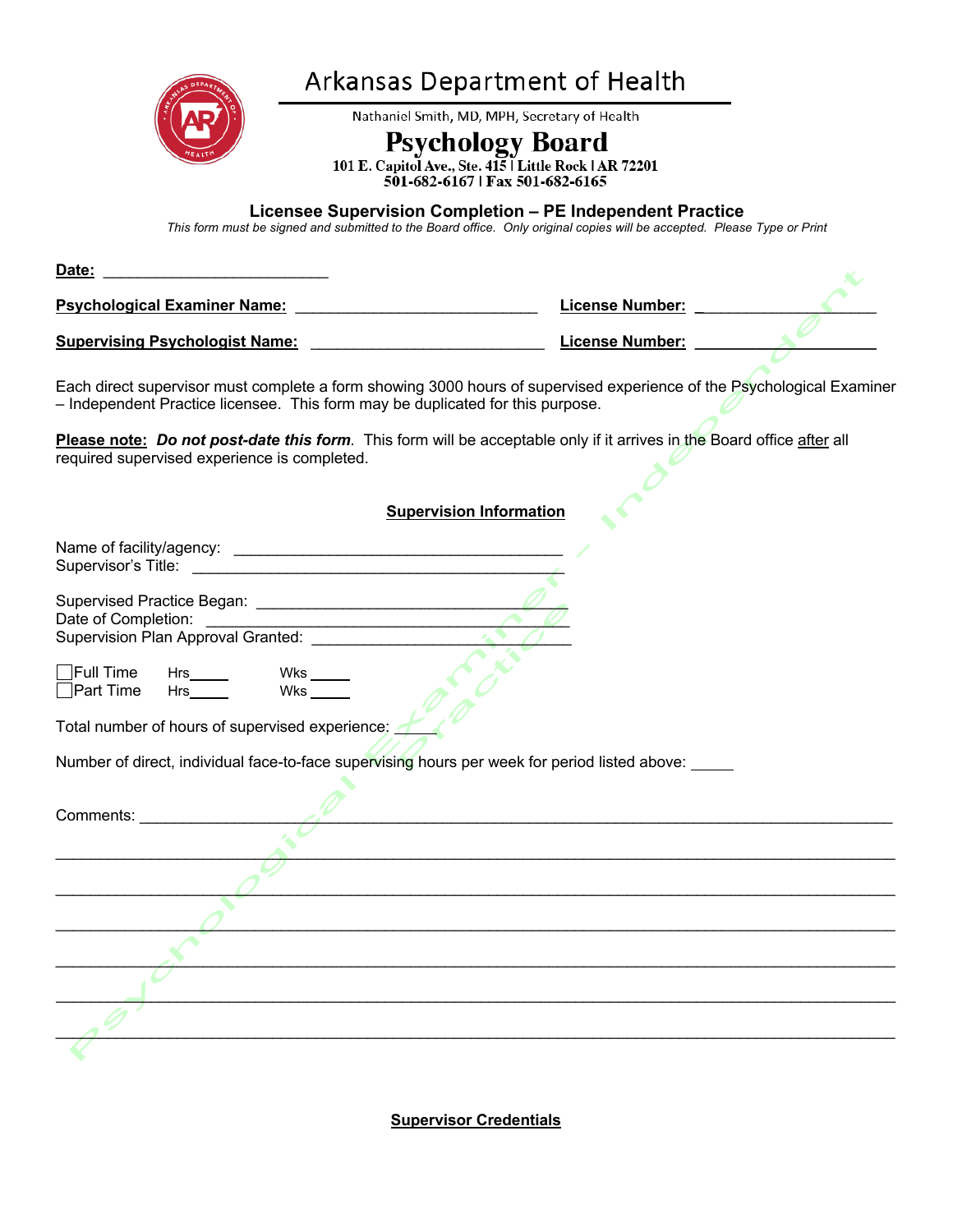

## Arkansas Department of Health

Nathaniel Smith, MD, MPH, Secretary of Health

Psychology Board<br>101 E. Capitol Ave., Ste. 415 | Little Rock | AR 72201<br>501-682-6167 | Fax 501-682-6165

## **Licensee Supervision Completion – PE Independent Practice**

*This form must be signed and submitted to the Board office. Only original copies will be accepted. Please Type or Print*

| Date:                                 |                 |  |
|---------------------------------------|-----------------|--|
| <b>Psychological Examiner Name:</b>   | License Number: |  |
| <b>Supervising Psychologist Name:</b> | License Number: |  |

Each direct supervisor must complete a form showing 3000 hours of supervised experience of the Psychological Examiner – Independent Practice licensee. This form may be duplicated for this purpose.

**Please note:** *Do not post-date this form.* This form will be acceptable only if it arrives in the Board office after all required supervised experience is completed.

## **Supervision Information**

| Date of Completion:<br>Supervision Plan Approval Granted:                                           |
|-----------------------------------------------------------------------------------------------------|
|                                                                                                     |
|                                                                                                     |
| $\Box$ Full Time<br>Hrs_______    Wks ______<br>Hrs______    Wks ______                             |
| $\Box$ Part Time                                                                                    |
|                                                                                                     |
| Total number of hours of supervised experience:                                                     |
| Number of direct, individual face-to-face supervising hours per week for period listed above: _____ |
|                                                                                                     |
|                                                                                                     |
| Comments:                                                                                           |
|                                                                                                     |
|                                                                                                     |
|                                                                                                     |
|                                                                                                     |
|                                                                                                     |
|                                                                                                     |
|                                                                                                     |
|                                                                                                     |

**Supervisor Credentials**